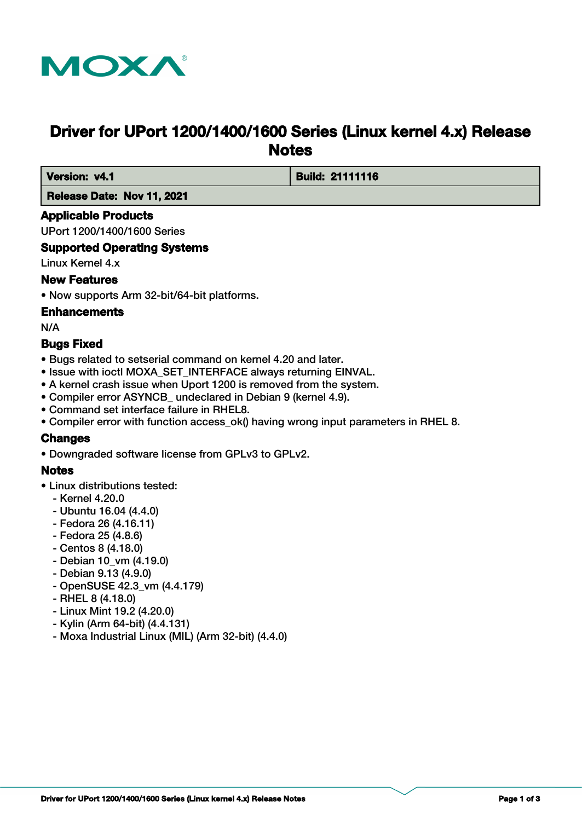

# **Driver for UPort 1200/1400/1600 Series (Linux kernel 4.x) Release Notes**

 **Version: v4.1 Build: 21111116** 

 **Release Date: Nov 11, 2021**

# **Applicable Products**

UPort 1200/1400/1600 Series

# **Supported Operating Systems**

Linux Kernel 4.x

# **New Features**

• Now supports Arm 32-bit/64-bit platforms.

# **Enhancements**

N/A

# **Bugs Fixed**

- Bugs related to setserial command on kernel 4.20 and later.
- Issue with ioctl MOXA\_SET\_INTERFACE always returning EINVAL.
- A kernel crash issue when Uport 1200 is removed from the system.
- Compiler error ASYNCB\_ undeclared in Debian 9 (kernel 4.9).
- Command set interface failure in RHEL8.
- Compiler error with function access ok() having wrong input parameters in RHEL 8.

# **Changes**

• Downgraded software license from GPLv3 to GPLv2.

# **Notes**

- Linux distributions tested:
	- Kernel 4.20.0
	- Ubuntu 16.04 (4.4.0)
	- Fedora 26 (4.16.11)
	- Fedora 25 (4.8.6)
	- Centos 8 (4.18.0)
	- Debian 10\_vm (4.19.0)
	- Debian 9.13 (4.9.0)
	- OpenSUSE 42.3\_vm (4.4.179)
	- RHEL 8 (4.18.0)
	- Linux Mint 19.2 (4.20.0)
	- Kylin (Arm 64-bit) (4.4.131)
	- Moxa Industrial Linux (MIL) (Arm 32-bit) (4.4.0)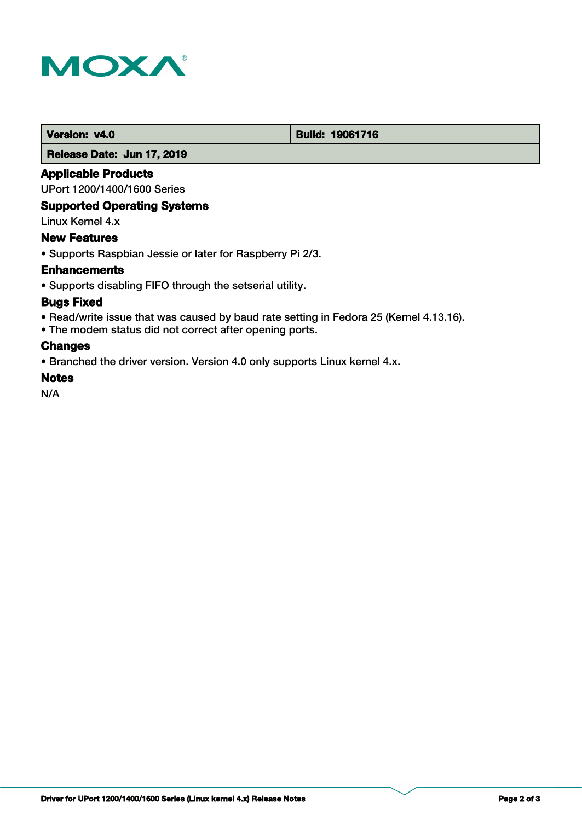

# **Version: v4.0 Build: 19061716**

#### **Release Date: Jun 17, 2019**

### **Applicable Products**

UPort 1200/1400/1600 Series

# **Supported Operating Systems**

Linux Kernel 4.x

### **New Features**

• Supports Raspbian Jessie or later for Raspberry Pi 2/3.

### **Enhancements**

• Supports disabling FIFO through the setserial utility.

### **Bugs Fixed**

- Read/write issue that was caused by baud rate setting in Fedora 25 (Kernel 4.13.16).
- The modem status did not correct after opening ports.

### **Changes**

• Branched the driver version. Version 4.0 only supports Linux kernel 4.x.

# **Notes**

N/A